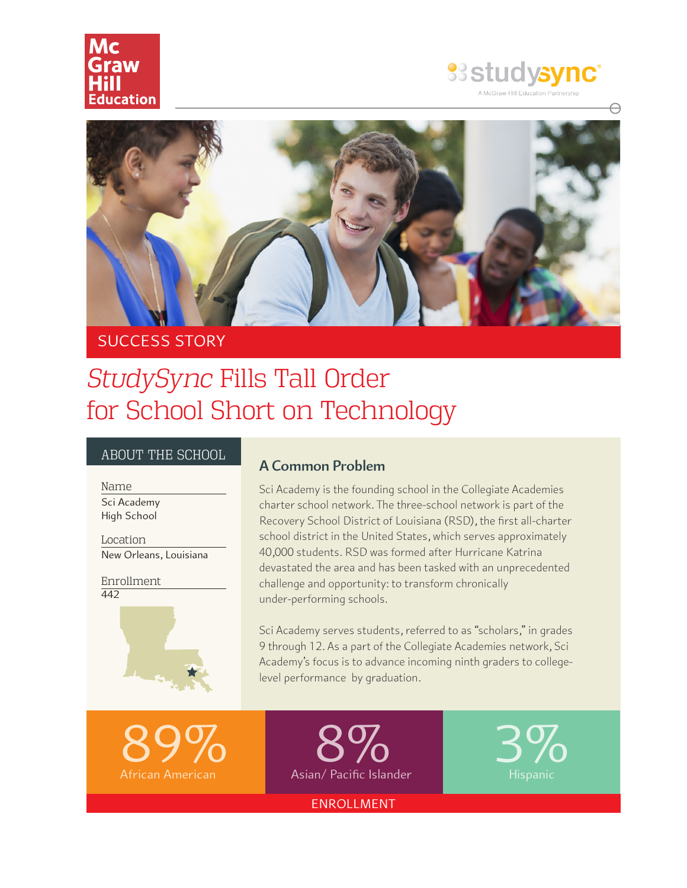





## SUCCESS STORY

# *StudySync* Fills Tall Order for School Short on Technology

#### ABOUT THE SCHOOL

Sci Academy High School Name

New Orleans, Louisiana Location

442 Enrollment



#### **A Common Problem**

Sci Academy is the founding school in the Collegiate Academies charter school network. The three-school network is part of the Recovery School District of Louisiana (RSD), the first all-charter school district in the United States, which serves approximately 40,000 students. RSD was formed after Hurricane Katrina devastated the area and has been tasked with an unprecedented challenge and opportunity: to transform chronically under-performing schools.

Sci Academy serves students, referred to as "scholars," in grades 9 through 12. As a part of the Collegiate Academies network, Sci Academy's focus is to advance incoming ninth graders to collegelevel performance by graduation.



Hispanic

ENROLLMENT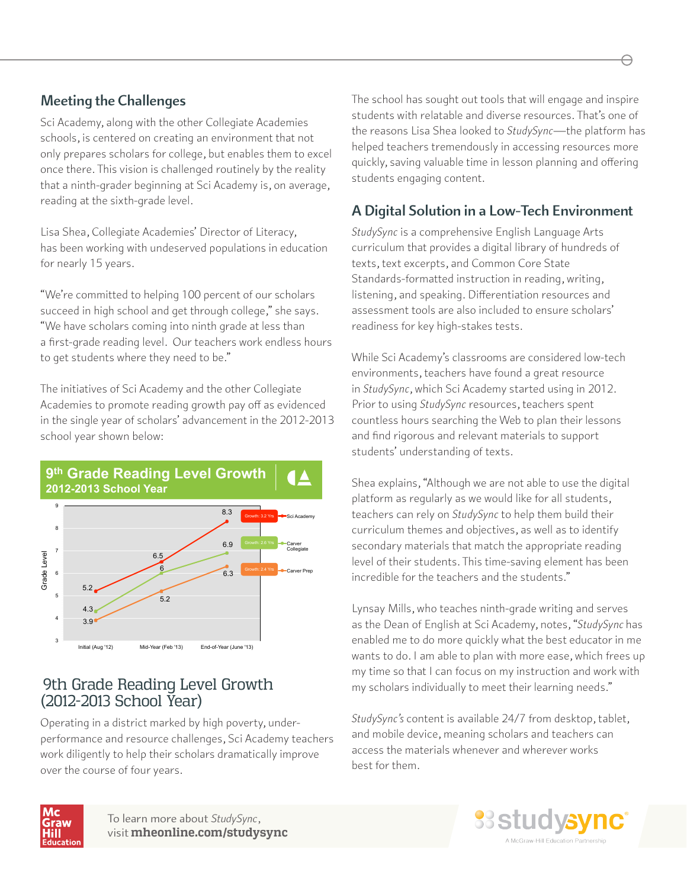#### **Meeting the Challenges**

Sci Academy, along with the other Collegiate Academies schools, is centered on creating an environment that not only prepares scholars for college, but enables them to excel once there. This vision is challenged routinely by the reality that a ninth-grader beginning at Sci Academy is, on average, reading at the sixth-grade level.

Lisa Shea, Collegiate Academies' Director of Literacy, has been working with undeserved populations in education for nearly 15 years.

"We're committed to helping 100 percent of our scholars succeed in high school and get through college," she says. "We have scholars coming into ninth grade at less than a first-grade reading level. Our teachers work endless hours to get students where they need to be."

The initiatives of Sci Academy and the other Collegiate Academies to promote reading growth pay off as evidenced in the single year of scholars' advancement in the 2012-2013 school year shown below:



#### 9th Grade Reading Level Growth (2012-2013 School Year)

Operating in a district marked by high poverty, underperformance and resource challenges, Sci Academy teachers work diligently to help their scholars dramatically improve over the course of four years.

The school has sought out tools that will engage and inspire students with relatable and diverse resources. That's one of the reasons Lisa Shea looked to *StudySync*—the platform has helped teachers tremendously in accessing resources more quickly, saving valuable time in lesson planning and offering students engaging content.

### **A Digital Solution in a Low-Tech Environment**

*StudySync* is a comprehensive English Language Arts curriculum that provides a digital library of hundreds of texts, text excerpts, and Common Core State Standards-formatted instruction in reading, writing, listening, and speaking. Differentiation resources and assessment tools are also included to ensure scholars' readiness for key high-stakes tests.

While Sci Academy's classrooms are considered low-tech environments, teachers have found a great resource in *StudySync*, which Sci Academy started using in 2012. Prior to using *StudySync* resources, teachers spent countless hours searching the Web to plan their lessons and find rigorous and relevant materials to support students' understanding of texts.

Shea explains, "Although we are not able to use the digital platform as regularly as we would like for all students, teachers can rely on *StudySync* to help them build their curriculum themes and objectives, as well as to identify secondary materials that match the appropriate reading level of their students. This time-saving element has been incredible for the teachers and the students."

Lynsay Mills, who teaches ninth-grade writing and serves as the Dean of English at Sci Academy, notes, "*StudySync* has enabled me to do more quickly what the best educator in me wants to do. I am able to plan with more ease, which frees up my time so that I can focus on my instruction and work with my scholars individually to meet their learning needs."

*StudySync's* content is available 24/7 from desktop, tablet, and mobile device, meaning scholars and teachers can access the materials whenever and wherever works best for them.



To learn more about *StudySync*, visit **mheonline.com/studysync**